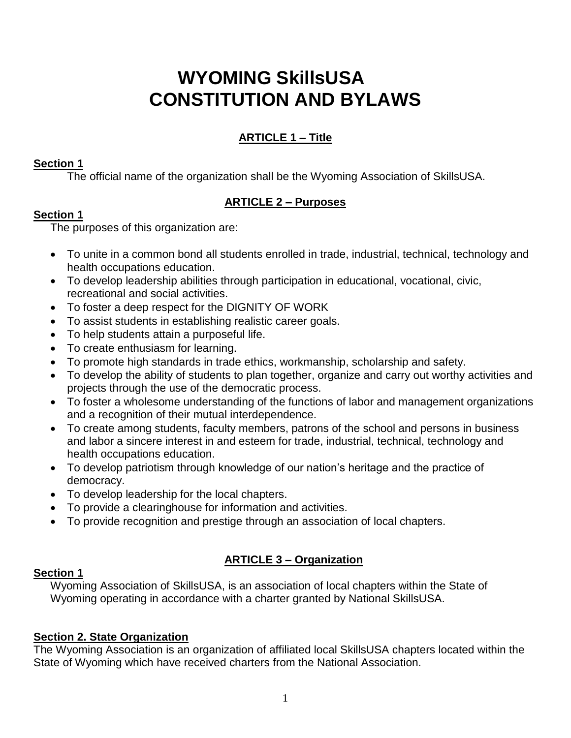# **WYOMING SkillsUSA CONSTITUTION AND BYLAWS**

# **ARTICLE 1 – Title**

# **Section 1**

The official name of the organization shall be the Wyoming Association of SkillsUSA.

# **ARTICLE 2 – Purposes**

# **Section 1**

The purposes of this organization are:

- To unite in a common bond all students enrolled in trade, industrial, technical, technology and health occupations education.
- To develop leadership abilities through participation in educational, vocational, civic, recreational and social activities.
- To foster a deep respect for the DIGNITY OF WORK
- To assist students in establishing realistic career goals.
- To help students attain a purposeful life.
- To create enthusiasm for learning.
- To promote high standards in trade ethics, workmanship, scholarship and safety.
- To develop the ability of students to plan together, organize and carry out worthy activities and projects through the use of the democratic process.
- To foster a wholesome understanding of the functions of labor and management organizations and a recognition of their mutual interdependence.
- To create among students, faculty members, patrons of the school and persons in business and labor a sincere interest in and esteem for trade, industrial, technical, technology and health occupations education.
- To develop patriotism through knowledge of our nation's heritage and the practice of democracy.
- To develop leadership for the local chapters.
- To provide a clearinghouse for information and activities.
- To provide recognition and prestige through an association of local chapters.

# **ARTICLE 3 – Organization**

# **Section 1**

Wyoming Association of SkillsUSA, is an association of local chapters within the State of Wyoming operating in accordance with a charter granted by National SkillsUSA.

# **Section 2. State Organization**

The Wyoming Association is an organization of affiliated local SkillsUSA chapters located within the State of Wyoming which have received charters from the National Association.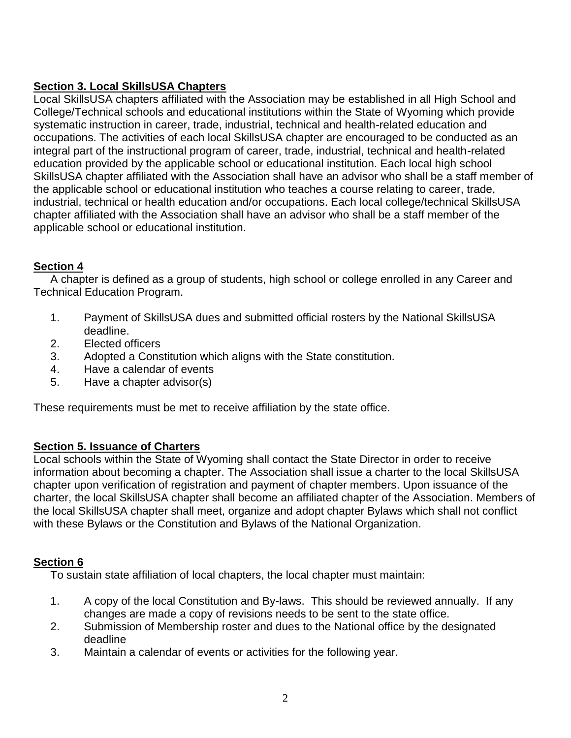# **Section 3. Local SkillsUSA Chapters**

Local SkillsUSA chapters affiliated with the Association may be established in all High School and College/Technical schools and educational institutions within the State of Wyoming which provide systematic instruction in career, trade, industrial, technical and health-related education and occupations. The activities of each local SkillsUSA chapter are encouraged to be conducted as an integral part of the instructional program of career, trade, industrial, technical and health-related education provided by the applicable school or educational institution. Each local high school SkillsUSA chapter affiliated with the Association shall have an advisor who shall be a staff member of the applicable school or educational institution who teaches a course relating to career, trade, industrial, technical or health education and/or occupations. Each local college/technical SkillsUSA chapter affiliated with the Association shall have an advisor who shall be a staff member of the applicable school or educational institution.

# **Section 4**

A chapter is defined as a group of students, high school or college enrolled in any Career and Technical Education Program.

- 1. Payment of SkillsUSA dues and submitted official rosters by the National SkillsUSA deadline.
- 2. Elected officers
- 3. Adopted a Constitution which aligns with the State constitution.
- 4. Have a calendar of events
- 5. Have a chapter advisor(s)

These requirements must be met to receive affiliation by the state office.

# **Section 5. Issuance of Charters**

Local schools within the State of Wyoming shall contact the State Director in order to receive information about becoming a chapter. The Association shall issue a charter to the local SkillsUSA chapter upon verification of registration and payment of chapter members. Upon issuance of the charter, the local SkillsUSA chapter shall become an affiliated chapter of the Association. Members of the local SkillsUSA chapter shall meet, organize and adopt chapter Bylaws which shall not conflict with these Bylaws or the Constitution and Bylaws of the National Organization.

# **Section 6**

To sustain state affiliation of local chapters, the local chapter must maintain:

- 1. A copy of the local Constitution and By-laws. This should be reviewed annually. If any changes are made a copy of revisions needs to be sent to the state office.
- 2. Submission of Membership roster and dues to the National office by the designated deadline
- 3. Maintain a calendar of events or activities for the following year.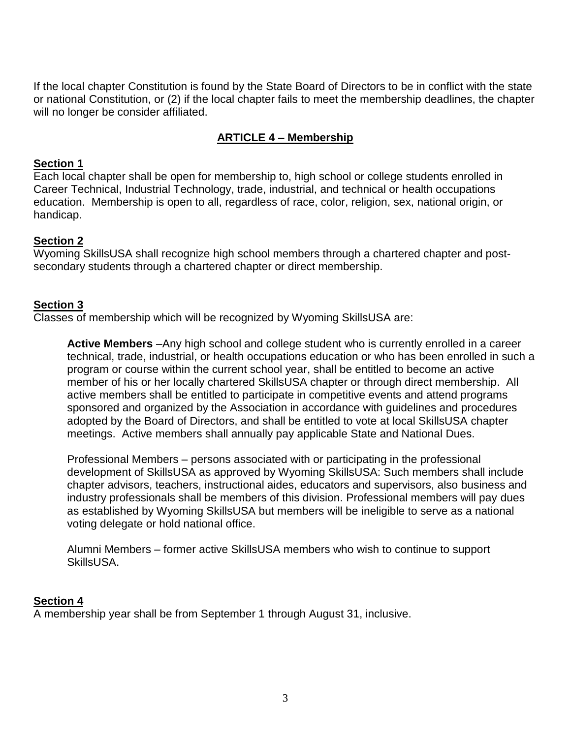If the local chapter Constitution is found by the State Board of Directors to be in conflict with the state or national Constitution, or (2) if the local chapter fails to meet the membership deadlines, the chapter will no longer be consider affiliated.

# **ARTICLE 4 – Membership**

#### **Section 1**

Each local chapter shall be open for membership to, high school or college students enrolled in Career Technical, Industrial Technology, trade, industrial, and technical or health occupations education. Membership is open to all, regardless of race, color, religion, sex, national origin, or handicap.

### **Section 2**

Wyoming SkillsUSA shall recognize high school members through a chartered chapter and postsecondary students through a chartered chapter or direct membership.

#### **Section 3**

Classes of membership which will be recognized by Wyoming SkillsUSA are:

**Active Members** –Any high school and college student who is currently enrolled in a career technical, trade, industrial, or health occupations education or who has been enrolled in such a program or course within the current school year, shall be entitled to become an active member of his or her locally chartered SkillsUSA chapter or through direct membership. All active members shall be entitled to participate in competitive events and attend programs sponsored and organized by the Association in accordance with guidelines and procedures adopted by the Board of Directors, and shall be entitled to vote at local SkillsUSA chapter meetings. Active members shall annually pay applicable State and National Dues.

Professional Members – persons associated with or participating in the professional development of SkillsUSA as approved by Wyoming SkillsUSA: Such members shall include chapter advisors, teachers, instructional aides, educators and supervisors, also business and industry professionals shall be members of this division. Professional members will pay dues as established by Wyoming SkillsUSA but members will be ineligible to serve as a national voting delegate or hold national office.

Alumni Members – former active SkillsUSA members who wish to continue to support SkillsUSA.

#### **Section 4**

A membership year shall be from September 1 through August 31, inclusive.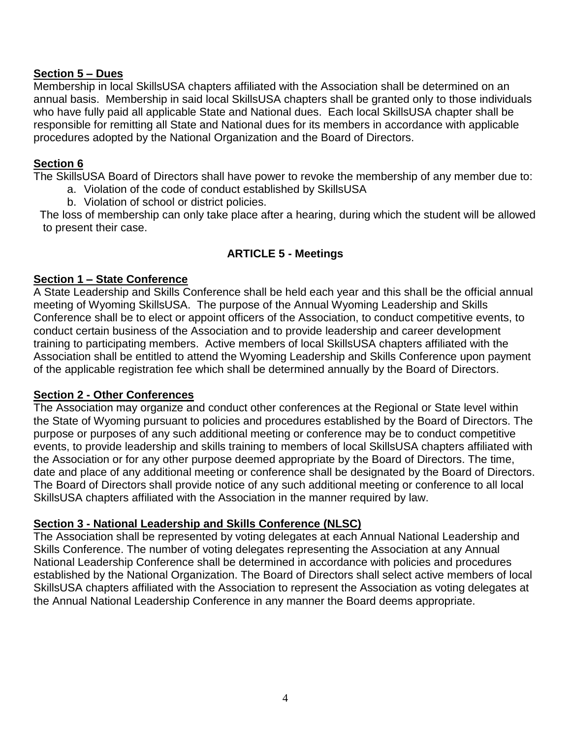### **Section 5 – Dues**

Membership in local SkillsUSA chapters affiliated with the Association shall be determined on an annual basis. Membership in said local SkillsUSA chapters shall be granted only to those individuals who have fully paid all applicable State and National dues. Each local SkillsUSA chapter shall be responsible for remitting all State and National dues for its members in accordance with applicable procedures adopted by the National Organization and the Board of Directors.

#### **Section 6**

The SkillsUSA Board of Directors shall have power to revoke the membership of any member due to:

- a. Violation of the code of conduct established by SkillsUSA
- b. Violation of school or district policies.

 The loss of membership can only take place after a hearing, during which the student will be allowed to present their case.

# **ARTICLE 5 - Meetings**

#### **Section 1 – State Conference**

A State Leadership and Skills Conference shall be held each year and this shall be the official annual meeting of Wyoming SkillsUSA. The purpose of the Annual Wyoming Leadership and Skills Conference shall be to elect or appoint officers of the Association, to conduct competitive events, to conduct certain business of the Association and to provide leadership and career development training to participating members. Active members of local SkillsUSA chapters affiliated with the Association shall be entitled to attend the Wyoming Leadership and Skills Conference upon payment of the applicable registration fee which shall be determined annually by the Board of Directors.

#### **Section 2 - Other Conferences**

The Association may organize and conduct other conferences at the Regional or State level within the State of Wyoming pursuant to policies and procedures established by the Board of Directors. The purpose or purposes of any such additional meeting or conference may be to conduct competitive events, to provide leadership and skills training to members of local SkillsUSA chapters affiliated with the Association or for any other purpose deemed appropriate by the Board of Directors. The time, date and place of any additional meeting or conference shall be designated by the Board of Directors. The Board of Directors shall provide notice of any such additional meeting or conference to all local SkillsUSA chapters affiliated with the Association in the manner required by law.

### **Section 3 - National Leadership and Skills Conference (NLSC)**

The Association shall be represented by voting delegates at each Annual National Leadership and Skills Conference. The number of voting delegates representing the Association at any Annual National Leadership Conference shall be determined in accordance with policies and procedures established by the National Organization. The Board of Directors shall select active members of local SkillsUSA chapters affiliated with the Association to represent the Association as voting delegates at the Annual National Leadership Conference in any manner the Board deems appropriate.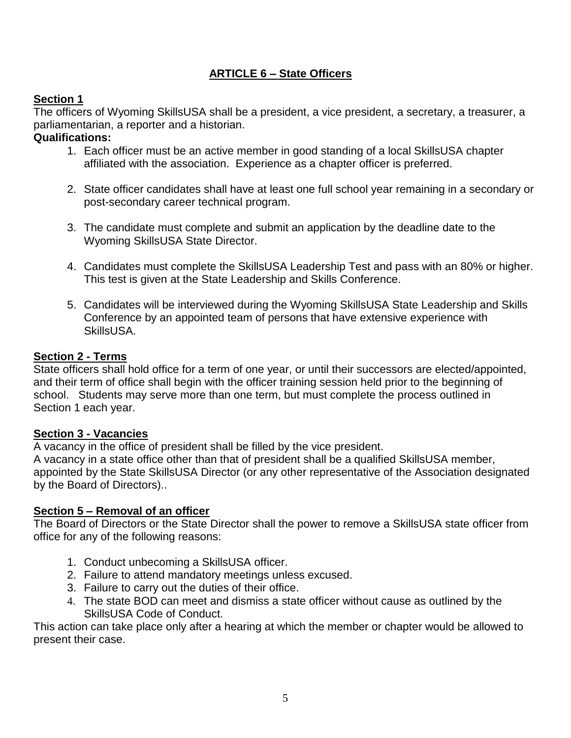# **ARTICLE 6 – State Officers**

# **Section 1**

The officers of Wyoming SkillsUSA shall be a president, a vice president, a secretary, a treasurer, a parliamentarian, a reporter and a historian.

# **Qualifications:**

- 1. Each officer must be an active member in good standing of a local SkillsUSA chapter affiliated with the association. Experience as a chapter officer is preferred.
- 2. State officer candidates shall have at least one full school year remaining in a secondary or post-secondary career technical program.
- 3. The candidate must complete and submit an application by the deadline date to the Wyoming SkillsUSA State Director.
- 4. Candidates must complete the SkillsUSA Leadership Test and pass with an 80% or higher. This test is given at the State Leadership and Skills Conference.
- 5. Candidates will be interviewed during the Wyoming SkillsUSA State Leadership and Skills Conference by an appointed team of persons that have extensive experience with SkillsUSA.

### **Section 2 - Terms**

State officers shall hold office for a term of one year, or until their successors are elected/appointed, and their term of office shall begin with the officer training session held prior to the beginning of school. Students may serve more than one term, but must complete the process outlined in Section 1 each year.

### **Section 3 - Vacancies**

A vacancy in the office of president shall be filled by the vice president.

A vacancy in a state office other than that of president shall be a qualified SkillsUSA member, appointed by the State SkillsUSA Director (or any other representative of the Association designated by the Board of Directors)..

### **Section 5 – Removal of an officer**

The Board of Directors or the State Director shall the power to remove a SkillsUSA state officer from office for any of the following reasons:

- 1. Conduct unbecoming a SkillsUSA officer.
- 2. Failure to attend mandatory meetings unless excused.
- 3. Failure to carry out the duties of their office.
- 4. The state BOD can meet and dismiss a state officer without cause as outlined by the SkillsUSA Code of Conduct.

This action can take place only after a hearing at which the member or chapter would be allowed to present their case.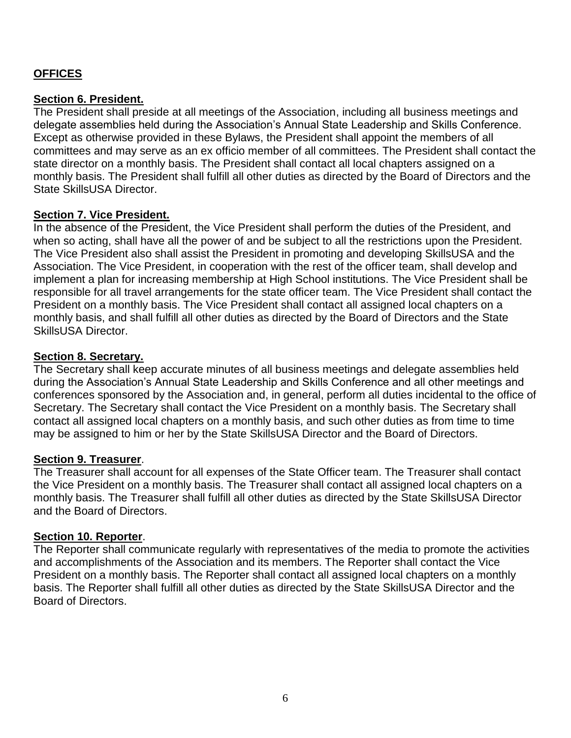# **OFFICES**

#### **Section 6. President.**

The President shall preside at all meetings of the Association, including all business meetings and delegate assemblies held during the Association's Annual State Leadership and Skills Conference. Except as otherwise provided in these Bylaws, the President shall appoint the members of all committees and may serve as an ex officio member of all committees. The President shall contact the state director on a monthly basis. The President shall contact all local chapters assigned on a monthly basis. The President shall fulfill all other duties as directed by the Board of Directors and the State SkillsUSA Director.

### **Section 7. Vice President.**

In the absence of the President, the Vice President shall perform the duties of the President, and when so acting, shall have all the power of and be subject to all the restrictions upon the President. The Vice President also shall assist the President in promoting and developing SkillsUSA and the Association. The Vice President, in cooperation with the rest of the officer team, shall develop and implement a plan for increasing membership at High School institutions. The Vice President shall be responsible for all travel arrangements for the state officer team. The Vice President shall contact the President on a monthly basis. The Vice President shall contact all assigned local chapters on a monthly basis, and shall fulfill all other duties as directed by the Board of Directors and the State SkillsUSA Director.

#### **Section 8. Secretary.**

The Secretary shall keep accurate minutes of all business meetings and delegate assemblies held during the Association's Annual State Leadership and Skills Conference and all other meetings and conferences sponsored by the Association and, in general, perform all duties incidental to the office of Secretary. The Secretary shall contact the Vice President on a monthly basis. The Secretary shall contact all assigned local chapters on a monthly basis, and such other duties as from time to time may be assigned to him or her by the State SkillsUSA Director and the Board of Directors.

#### **Section 9. Treasurer**.

The Treasurer shall account for all expenses of the State Officer team. The Treasurer shall contact the Vice President on a monthly basis. The Treasurer shall contact all assigned local chapters on a monthly basis. The Treasurer shall fulfill all other duties as directed by the State SkillsUSA Director and the Board of Directors.

#### **Section 10. Reporter**.

The Reporter shall communicate regularly with representatives of the media to promote the activities and accomplishments of the Association and its members. The Reporter shall contact the Vice President on a monthly basis. The Reporter shall contact all assigned local chapters on a monthly basis. The Reporter shall fulfill all other duties as directed by the State SkillsUSA Director and the Board of Directors.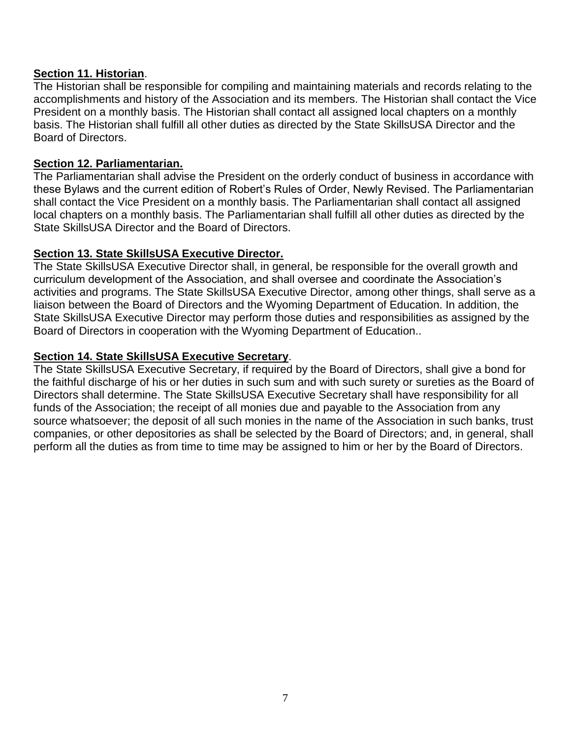### **Section 11. Historian**.

The Historian shall be responsible for compiling and maintaining materials and records relating to the accomplishments and history of the Association and its members. The Historian shall contact the Vice President on a monthly basis. The Historian shall contact all assigned local chapters on a monthly basis. The Historian shall fulfill all other duties as directed by the State SkillsUSA Director and the Board of Directors.

# **Section 12. Parliamentarian.**

The Parliamentarian shall advise the President on the orderly conduct of business in accordance with these Bylaws and the current edition of Robert's Rules of Order, Newly Revised. The Parliamentarian shall contact the Vice President on a monthly basis. The Parliamentarian shall contact all assigned local chapters on a monthly basis. The Parliamentarian shall fulfill all other duties as directed by the State SkillsUSA Director and the Board of Directors.

# **Section 13. State SkillsUSA Executive Director.**

The State SkillsUSA Executive Director shall, in general, be responsible for the overall growth and curriculum development of the Association, and shall oversee and coordinate the Association's activities and programs. The State SkillsUSA Executive Director, among other things, shall serve as a liaison between the Board of Directors and the Wyoming Department of Education. In addition, the State SkillsUSA Executive Director may perform those duties and responsibilities as assigned by the Board of Directors in cooperation with the Wyoming Department of Education..

# **Section 14. State SkillsUSA Executive Secretary**.

The State SkillsUSA Executive Secretary, if required by the Board of Directors, shall give a bond for the faithful discharge of his or her duties in such sum and with such surety or sureties as the Board of Directors shall determine. The State SkillsUSA Executive Secretary shall have responsibility for all funds of the Association; the receipt of all monies due and payable to the Association from any source whatsoever; the deposit of all such monies in the name of the Association in such banks, trust companies, or other depositories as shall be selected by the Board of Directors; and, in general, shall perform all the duties as from time to time may be assigned to him or her by the Board of Directors.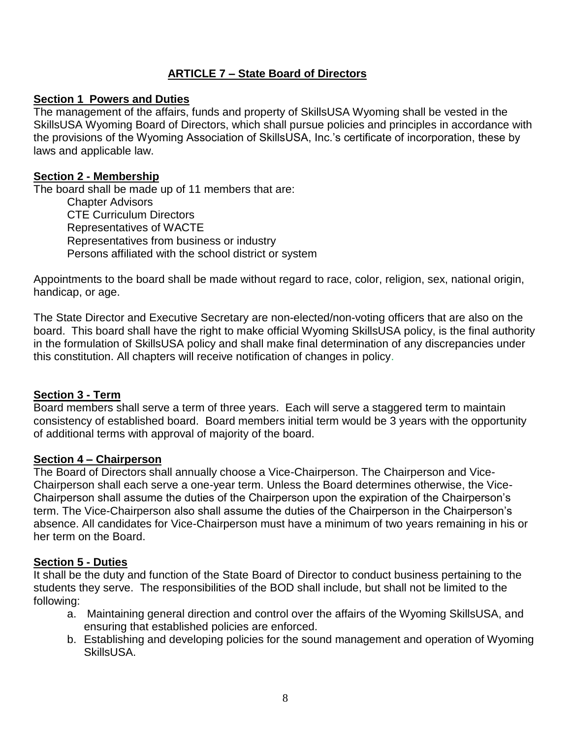# **ARTICLE 7 – State Board of Directors**

# **Section 1 Powers and Duties**

The management of the affairs, funds and property of SkillsUSA Wyoming shall be vested in the SkillsUSA Wyoming Board of Directors, which shall pursue policies and principles in accordance with the provisions of the Wyoming Association of SkillsUSA, Inc.'s certificate of incorporation, these by laws and applicable law.

# **Section 2 - Membership**

The board shall be made up of 11 members that are: Chapter Advisors CTE Curriculum Directors Representatives of WACTE Representatives from business or industry Persons affiliated with the school district or system

Appointments to the board shall be made without regard to race, color, religion, sex, national origin, handicap, or age.

The State Director and Executive Secretary are non-elected/non-voting officers that are also on the board. This board shall have the right to make official Wyoming SkillsUSA policy, is the final authority in the formulation of SkillsUSA policy and shall make final determination of any discrepancies under this constitution. All chapters will receive notification of changes in policy.

### **Section 3 - Term**

Board members shall serve a term of three years. Each will serve a staggered term to maintain consistency of established board. Board members initial term would be 3 years with the opportunity of additional terms with approval of majority of the board.

### **Section 4 – Chairperson**

The Board of Directors shall annually choose a Vice-Chairperson. The Chairperson and Vice-Chairperson shall each serve a one-year term. Unless the Board determines otherwise, the Vice-Chairperson shall assume the duties of the Chairperson upon the expiration of the Chairperson's term. The Vice-Chairperson also shall assume the duties of the Chairperson in the Chairperson's absence. All candidates for Vice-Chairperson must have a minimum of two years remaining in his or her term on the Board.

### **Section 5 - Duties**

It shall be the duty and function of the State Board of Director to conduct business pertaining to the students they serve. The responsibilities of the BOD shall include, but shall not be limited to the following:

- a. Maintaining general direction and control over the affairs of the Wyoming SkillsUSA, and ensuring that established policies are enforced.
- b. Establishing and developing policies for the sound management and operation of Wyoming SkillsUSA.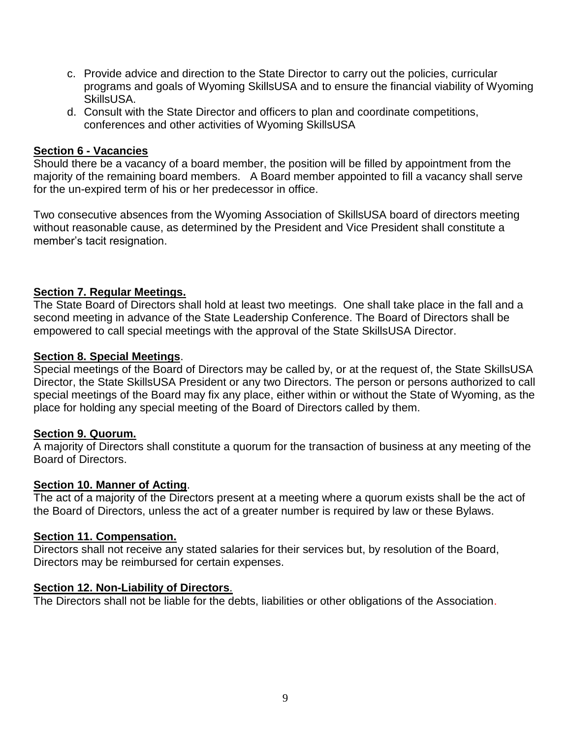- c. Provide advice and direction to the State Director to carry out the policies, curricular programs and goals of Wyoming SkillsUSA and to ensure the financial viability of Wyoming SkillsUSA.
- d. Consult with the State Director and officers to plan and coordinate competitions, conferences and other activities of Wyoming SkillsUSA

#### **Section 6 - Vacancies**

Should there be a vacancy of a board member, the position will be filled by appointment from the majority of the remaining board members. A Board member appointed to fill a vacancy shall serve for the un-expired term of his or her predecessor in office.

Two consecutive absences from the Wyoming Association of SkillsUSA board of directors meeting without reasonable cause, as determined by the President and Vice President shall constitute a member's tacit resignation.

#### **Section 7. Regular Meetings.**

The State Board of Directors shall hold at least two meetings. One shall take place in the fall and a second meeting in advance of the State Leadership Conference. The Board of Directors shall be empowered to call special meetings with the approval of the State SkillsUSA Director.

#### **Section 8. Special Meetings**.

Special meetings of the Board of Directors may be called by, or at the request of, the State SkillsUSA Director, the State SkillsUSA President or any two Directors. The person or persons authorized to call special meetings of the Board may fix any place, either within or without the State of Wyoming, as the place for holding any special meeting of the Board of Directors called by them.

#### **Section 9. Quorum.**

A majority of Directors shall constitute a quorum for the transaction of business at any meeting of the Board of Directors.

#### **Section 10. Manner of Acting**.

The act of a majority of the Directors present at a meeting where a quorum exists shall be the act of the Board of Directors, unless the act of a greater number is required by law or these Bylaws.

#### **Section 11. Compensation.**

Directors shall not receive any stated salaries for their services but, by resolution of the Board, Directors may be reimbursed for certain expenses.

#### **Section 12. Non-Liability of Directors**.

The Directors shall not be liable for the debts, liabilities or other obligations of the Association.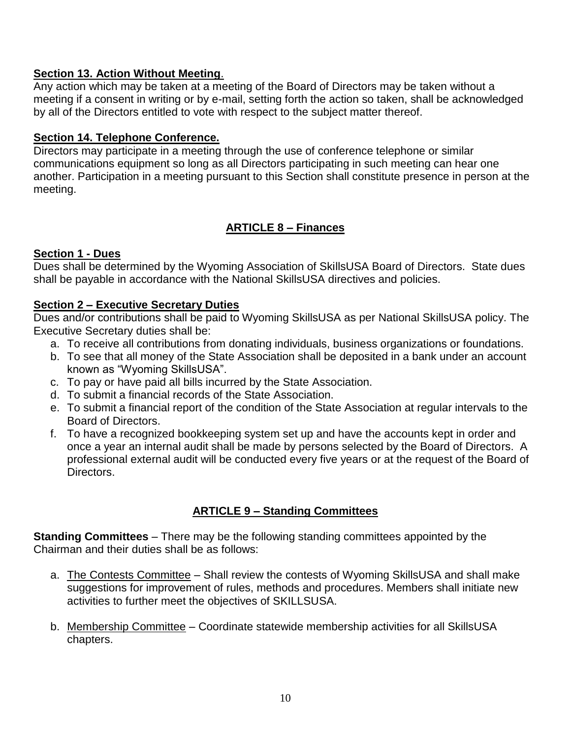# **Section 13. Action Without Meeting**.

Any action which may be taken at a meeting of the Board of Directors may be taken without a meeting if a consent in writing or by e-mail, setting forth the action so taken, shall be acknowledged by all of the Directors entitled to vote with respect to the subject matter thereof.

# **Section 14. Telephone Conference.**

Directors may participate in a meeting through the use of conference telephone or similar communications equipment so long as all Directors participating in such meeting can hear one another. Participation in a meeting pursuant to this Section shall constitute presence in person at the meeting.

# **ARTICLE 8 – Finances**

# **Section 1 - Dues**

Dues shall be determined by the Wyoming Association of SkillsUSA Board of Directors. State dues shall be payable in accordance with the National SkillsUSA directives and policies.

### **Section 2 – Executive Secretary Duties**

Dues and/or contributions shall be paid to Wyoming SkillsUSA as per National SkillsUSA policy. The Executive Secretary duties shall be:

- a. To receive all contributions from donating individuals, business organizations or foundations.
- b. To see that all money of the State Association shall be deposited in a bank under an account known as "Wyoming SkillsUSA".
- c. To pay or have paid all bills incurred by the State Association.
- d. To submit a financial records of the State Association.
- e. To submit a financial report of the condition of the State Association at regular intervals to the Board of Directors.
- f. To have a recognized bookkeeping system set up and have the accounts kept in order and once a year an internal audit shall be made by persons selected by the Board of Directors. A professional external audit will be conducted every five years or at the request of the Board of Directors.

# **ARTICLE 9 – Standing Committees**

**Standing Committees** – There may be the following standing committees appointed by the Chairman and their duties shall be as follows:

- a. The Contests Committee Shall review the contests of Wyoming SkillsUSA and shall make suggestions for improvement of rules, methods and procedures. Members shall initiate new activities to further meet the objectives of SKILLSUSA.
- b. Membership Committee Coordinate statewide membership activities for all SkillsUSA chapters.